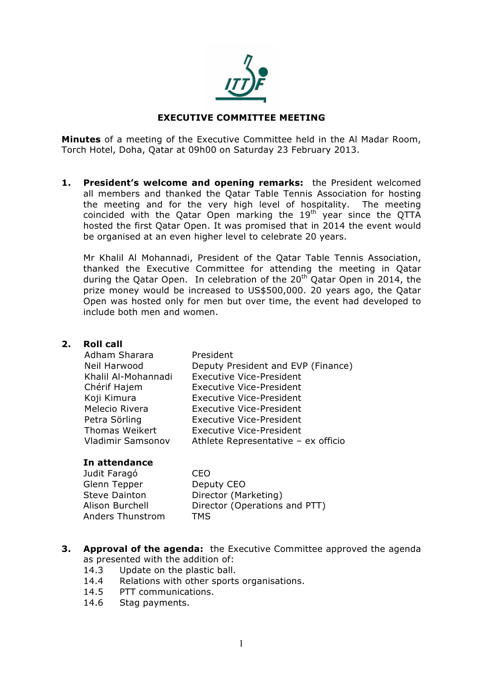

# **EXECUTIVE COMMITTEE MEETING**

**Minutes** of a meeting of the Executive Committee held in the Al Madar Room, Torch Hotel, Doha, Qatar at 09h00 on Saturday 23 February 2013.

**1. President's welcome and opening remarks:** the President welcomed all members and thanked the Qatar Table Tennis Association for hosting the meeting and for the very high level of hospitality. The meeting coincided with the Qatar Open marking the 19<sup>th</sup> year since the QTTA hosted the first Qatar Open. It was promised that in 2014 the event would be organised at an even higher level to celebrate 20 years.

Mr Khalil Al Mohannadi, President of the Qatar Table Tennis Association, thanked the Executive Committee for attending the meeting in Qatar during the Qatar Open. In celebration of the  $20<sup>th</sup>$  Qatar Open in 2014, the prize money would be increased to US\$500,000. 20 years ago, the Qatar Open was hosted only for men but over time, the event had developed to include both men and women.

### **2. Roll call**

| President                           |
|-------------------------------------|
| Deputy President and EVP (Finance)  |
| <b>Executive Vice-President</b>     |
| <b>Executive Vice-President</b>     |
| <b>Executive Vice-President</b>     |
| <b>Executive Vice-President</b>     |
| <b>Executive Vice-President</b>     |
| <b>Executive Vice-President</b>     |
| Athlete Representative - ex officio |
|                                     |

### **In attendance**

| Judit Faragó            | CEO                           |
|-------------------------|-------------------------------|
| Glenn Tepper            | Deputy CEO                    |
| <b>Steve Dainton</b>    | Director (Marketing)          |
| Alison Burchell         | Director (Operations and PTT) |
| <b>Anders Thunstrom</b> | <b>TMS</b>                    |
|                         |                               |

- **3. Approval of the agenda:** the Executive Committee approved the agenda as presented with the addition of:
	- 14.3 Update on the plastic ball.
	- 14.4 Relations with other sports organisations.
	- 14.5 PTT communications.
	- 14.6 Stag payments.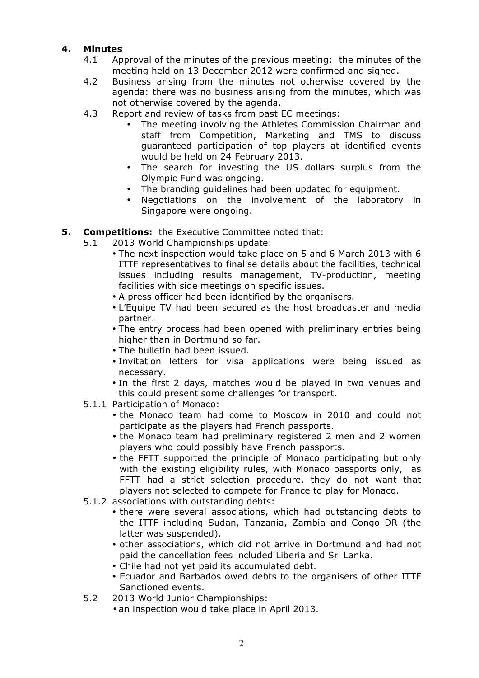# **4. Minutes**

- 4.1 Approval of the minutes of the previous meeting: the minutes of the meeting held on 13 December 2012 were confirmed and signed.
- 4.2 Business arising from the minutes not otherwise covered by the agenda: there was no business arising from the minutes, which was not otherwise covered by the agenda.
- 4.3 Report and review of tasks from past EC meetings:
	- The meeting involving the Athletes Commission Chairman and staff from Competition, Marketing and TMS to discuss guaranteed participation of top players at identified events would be held on 24 February 2013.
	- The search for investing the US dollars surplus from the Olympic Fund was ongoing.
	- The branding guidelines had been updated for equipment.
	- Negotiations on the involvement of the laboratory in Singapore were ongoing.

# **5. Competitions:** the Executive Committee noted that:

- 5.1 2013 World Championships update:
	- The next inspection would take place on 5 and 6 March 2013 with 6 ITTF representatives to finalise details about the facilities, technical issues including results management, TV-production, meeting facilities with side meetings on specific issues.
	- A press officer had been identified by the organisers.
	- L'Equipe TV had been secured as the host broadcaster and media partner.
	- The entry process had been opened with preliminary entries being higher than in Dortmund so far.
	- The bulletin had been issued.
	- Invitation letters for visa applications were being issued as necessary.
	- In the first 2 days, matches would be played in two venues and this could present some challenges for transport.
- 5.1.1 Participation of Monaco:
	- the Monaco team had come to Moscow in 2010 and could not participate as the players had French passports.
	- the Monaco team had preliminary registered 2 men and 2 women players who could possibly have French passports.
	- the FFTT supported the principle of Monaco participating but only with the existing eligibility rules, with Monaco passports only, as FFTT had a strict selection procedure, they do not want that players not selected to compete for France to play for Monaco.
- 5.1.2 associations with outstanding debts:
	- there were several associations, which had outstanding debts to the ITTF including Sudan, Tanzania, Zambia and Congo DR (the latter was suspended).
	- other associations, which did not arrive in Dortmund and had not paid the cancellation fees included Liberia and Sri Lanka.
	- Chile had not yet paid its accumulated debt.
	- Ecuador and Barbados owed debts to the organisers of other ITTF Sanctioned events.
- 5.2 2013 World Junior Championships:
	- an inspection would take place in April 2013.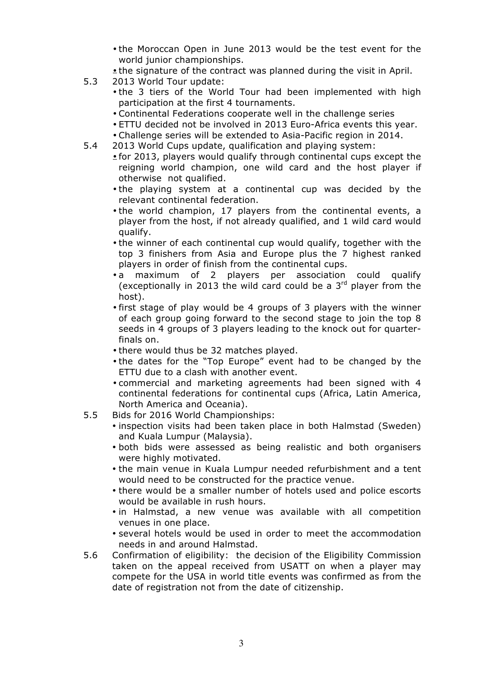- the Moroccan Open in June 2013 would be the test event for the world junior championships.
- the signature of the contract was planned during the visit in April.
- 5.3 2013 World Tour update:
	- the 3 tiers of the World Tour had been implemented with high participation at the first 4 tournaments.
	- Continental Federations cooperate well in the challenge series
	- ETTU decided not be involved in 2013 Euro-Africa events this year.
	- Challenge series will be extended to Asia-Pacific region in 2014.
- 5.4 2013 World Cups update, qualification and playing system:
	- for 2013, players would qualify through continental cups except the reigning world champion, one wild card and the host player if otherwise not qualified.
	- the playing system at a continental cup was decided by the relevant continental federation.
	- the world champion, 17 players from the continental events, a player from the host, if not already qualified, and 1 wild card would qualify.
	- the winner of each continental cup would qualify, together with the top 3 finishers from Asia and Europe plus the 7 highest ranked players in order of finish from the continental cups.
	- a maximum of 2 players per association could qualify (exceptionally in 2013 the wild card could be a  $3<sup>rd</sup>$  player from the host).
	- first stage of play would be 4 groups of 3 players with the winner of each group going forward to the second stage to join the top 8 seeds in 4 groups of 3 players leading to the knock out for quarterfinals on.
	- there would thus be 32 matches played.
	- the dates for the "Top Europe" event had to be changed by the ETTU due to a clash with another event.
	- commercial and marketing agreements had been signed with 4 continental federations for continental cups (Africa, Latin America, North America and Oceania).
- 5.5 Bids for 2016 World Championships:
	- inspection visits had been taken place in both Halmstad (Sweden) and Kuala Lumpur (Malaysia).
	- both bids were assessed as being realistic and both organisers were highly motivated.
	- the main venue in Kuala Lumpur needed refurbishment and a tent would need to be constructed for the practice venue.
	- there would be a smaller number of hotels used and police escorts would be available in rush hours.
	- in Halmstad, a new venue was available with all competition venues in one place.
	- several hotels would be used in order to meet the accommodation needs in and around Halmstad.
- 5.6 Confirmation of eligibility: the decision of the Eligibility Commission taken on the appeal received from USATT on when a player may compete for the USA in world title events was confirmed as from the date of registration not from the date of citizenship.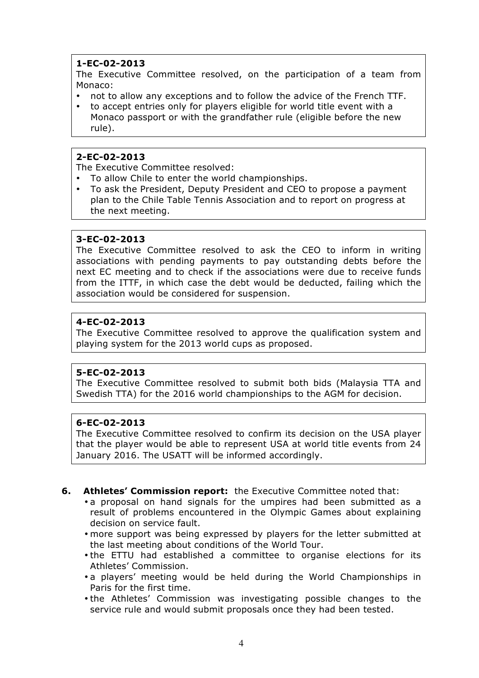# **1-EC-02-2013**

The Executive Committee resolved, on the participation of a team from Monaco:

- not to allow any exceptions and to follow the advice of the French TTF.
- to accept entries only for players eligible for world title event with a Monaco passport or with the grandfather rule (eligible before the new rule).

# **2-EC-02-2013**

The Executive Committee resolved:

- To allow Chile to enter the world championships.
- To ask the President, Deputy President and CEO to propose a payment plan to the Chile Table Tennis Association and to report on progress at the next meeting.

## **3-EC-02-2013**

The Executive Committee resolved to ask the CEO to inform in writing associations with pending payments to pay outstanding debts before the next EC meeting and to check if the associations were due to receive funds from the ITTF, in which case the debt would be deducted, failing which the association would be considered for suspension.

# **4-EC-02-2013**

The Executive Committee resolved to approve the qualification system and playing system for the 2013 world cups as proposed.

# **5-EC-02-2013**

The Executive Committee resolved to submit both bids (Malaysia TTA and Swedish TTA) for the 2016 world championships to the AGM for decision.

### **6-EC-02-2013**

The Executive Committee resolved to confirm its decision on the USA player that the player would be able to represent USA at world title events from 24 January 2016. The USATT will be informed accordingly.

- **6. Athletes' Commission report:** the Executive Committee noted that:
	- a proposal on hand signals for the umpires had been submitted as a result of problems encountered in the Olympic Games about explaining decision on service fault.
	- more support was being expressed by players for the letter submitted at the last meeting about conditions of the World Tour.
	- the ETTU had established a committee to organise elections for its Athletes' Commission.
	- a players' meeting would be held during the World Championships in Paris for the first time.
	- the Athletes' Commission was investigating possible changes to the service rule and would submit proposals once they had been tested.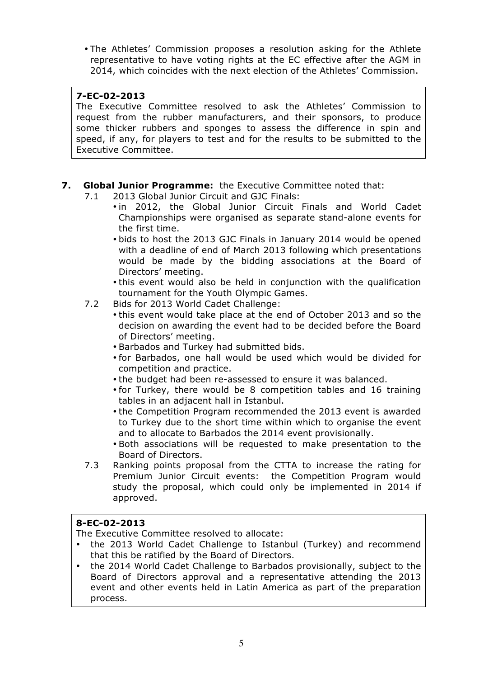• The Athletes' Commission proposes a resolution asking for the Athlete representative to have voting rights at the EC effective after the AGM in 2014, which coincides with the next election of the Athletes' Commission.

# **7-EC-02-2013**

The Executive Committee resolved to ask the Athletes' Commission to request from the rubber manufacturers, and their sponsors, to produce some thicker rubbers and sponges to assess the difference in spin and speed, if any, for players to test and for the results to be submitted to the Executive Committee.

# **7. Global Junior Programme:** the Executive Committee noted that:

- 7.1 2013 Global Junior Circuit and GJC Finals:
	- in 2012, the Global Junior Circuit Finals and World Cadet Championships were organised as separate stand-alone events for the first time.
	- bids to host the 2013 GJC Finals in January 2014 would be opened with a deadline of end of March 2013 following which presentations would be made by the bidding associations at the Board of Directors' meeting.
	- this event would also be held in conjunction with the qualification tournament for the Youth Olympic Games.
- 7.2 Bids for 2013 World Cadet Challenge:
	- this event would take place at the end of October 2013 and so the decision on awarding the event had to be decided before the Board of Directors' meeting.
	- Barbados and Turkey had submitted bids.
	- for Barbados, one hall would be used which would be divided for competition and practice.
	- the budget had been re-assessed to ensure it was balanced.
	- for Turkey, there would be 8 competition tables and 16 training tables in an adjacent hall in Istanbul.
	- the Competition Program recommended the 2013 event is awarded to Turkey due to the short time within which to organise the event and to allocate to Barbados the 2014 event provisionally.
	- Both associations will be requested to make presentation to the Board of Directors.
- 7.3 Ranking points proposal from the CTTA to increase the rating for Premium Junior Circuit events: the Competition Program would study the proposal, which could only be implemented in 2014 if approved.

# **8-EC-02-2013**

The Executive Committee resolved to allocate:

- the 2013 World Cadet Challenge to Istanbul (Turkey) and recommend that this be ratified by the Board of Directors.
- the 2014 World Cadet Challenge to Barbados provisionally, subject to the Board of Directors approval and a representative attending the 2013 event and other events held in Latin America as part of the preparation process.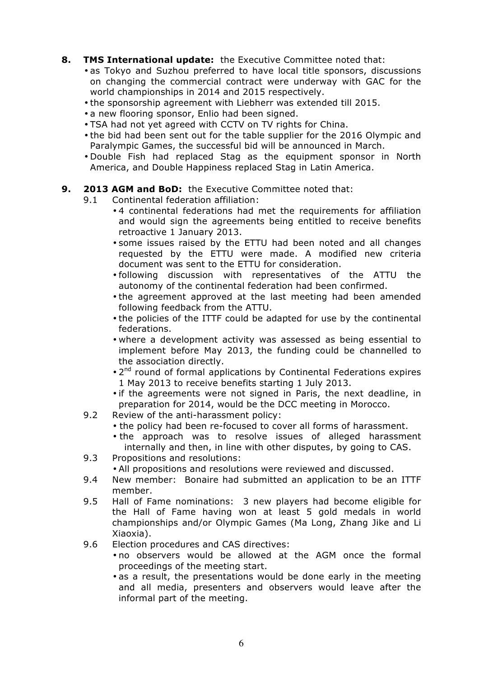## **8. TMS International update:** the Executive Committee noted that:

- as Tokyo and Suzhou preferred to have local title sponsors, discussions on changing the commercial contract were underway with GAC for the world championships in 2014 and 2015 respectively.
- the sponsorship agreement with Liebherr was extended till 2015.
- a new flooring sponsor, Enlio had been signed.
- TSA had not yet agreed with CCTV on TV rights for China.
- the bid had been sent out for the table supplier for the 2016 Olympic and Paralympic Games, the successful bid will be announced in March.
- Double Fish had replaced Stag as the equipment sponsor in North America, and Double Happiness replaced Stag in Latin America.

## **9. 2013 AGM and BoD:** the Executive Committee noted that:

- 9.1 Continental federation affiliation:
	- 4 continental federations had met the requirements for affiliation and would sign the agreements being entitled to receive benefits retroactive 1 January 2013.
	- some issues raised by the ETTU had been noted and all changes requested by the ETTU were made. A modified new criteria document was sent to the ETTU for consideration.
	- following discussion with representatives of the ATTU the autonomy of the continental federation had been confirmed.
	- the agreement approved at the last meeting had been amended following feedback from the ATTU.
	- the policies of the ITTF could be adapted for use by the continental federations.
	- where a development activity was assessed as being essential to implement before May 2013, the funding could be channelled to the association directly.
	- $\cdot$  2<sup>nd</sup> round of formal applications by Continental Federations expires 1 May 2013 to receive benefits starting 1 July 2013.
	- if the agreements were not signed in Paris, the next deadline, in preparation for 2014, would be the DCC meeting in Morocco.
- 9.2 Review of the anti-harassment policy:
	- the policy had been re-focused to cover all forms of harassment.
	- the approach was to resolve issues of alleged harassment internally and then, in line with other disputes, by going to CAS.
- 9.3 Propositions and resolutions:
	- All propositions and resolutions were reviewed and discussed.
- 9.4 New member: Bonaire had submitted an application to be an ITTF member.
- 9.5 Hall of Fame nominations: 3 new players had become eligible for the Hall of Fame having won at least 5 gold medals in world championships and/or Olympic Games (Ma Long, Zhang Jike and Li Xiaoxia).
- 9.6 Election procedures and CAS directives:
	- no observers would be allowed at the AGM once the formal proceedings of the meeting start.
	- as a result, the presentations would be done early in the meeting and all media, presenters and observers would leave after the informal part of the meeting.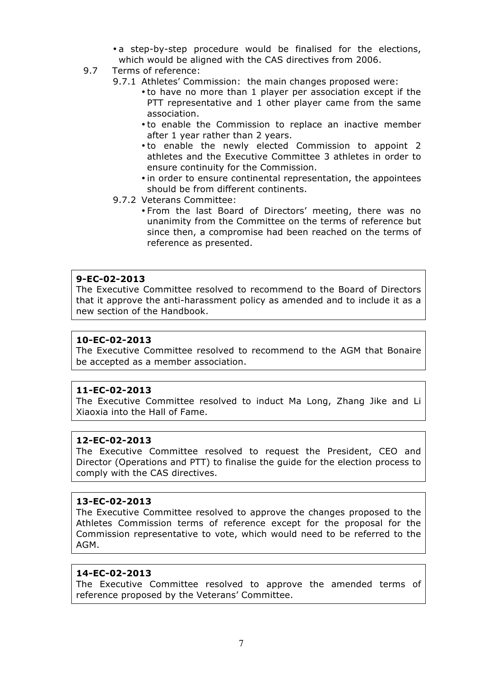• a step-by-step procedure would be finalised for the elections, which would be aligned with the CAS directives from 2006.

- 9.7 Terms of reference:
	- 9.7.1 Athletes' Commission: the main changes proposed were:
		- to have no more than 1 player per association except if the PTT representative and 1 other player came from the same association.
		- to enable the Commission to replace an inactive member after 1 year rather than 2 years.
		- to enable the newly elected Commission to appoint 2 athletes and the Executive Committee 3 athletes in order to ensure continuity for the Commission.
		- in order to ensure continental representation, the appointees should be from different continents.
	- 9.7.2 Veterans Committee:
		- From the last Board of Directors' meeting, there was no unanimity from the Committee on the terms of reference but since then, a compromise had been reached on the terms of reference as presented.

## **9-EC-02-2013**

The Executive Committee resolved to recommend to the Board of Directors that it approve the anti-harassment policy as amended and to include it as a new section of the Handbook.

### **10-EC-02-2013**

The Executive Committee resolved to recommend to the AGM that Bonaire be accepted as a member association.

### **11-EC-02-2013**

The Executive Committee resolved to induct Ma Long, Zhang Jike and Li Xiaoxia into the Hall of Fame.

#### **12-EC-02-2013**

The Executive Committee resolved to request the President, CEO and Director (Operations and PTT) to finalise the guide for the election process to comply with the CAS directives.

### **13-EC-02-2013**

The Executive Committee resolved to approve the changes proposed to the Athletes Commission terms of reference except for the proposal for the Commission representative to vote, which would need to be referred to the AGM.

#### **14-EC-02-2013**

The Executive Committee resolved to approve the amended terms of reference proposed by the Veterans' Committee.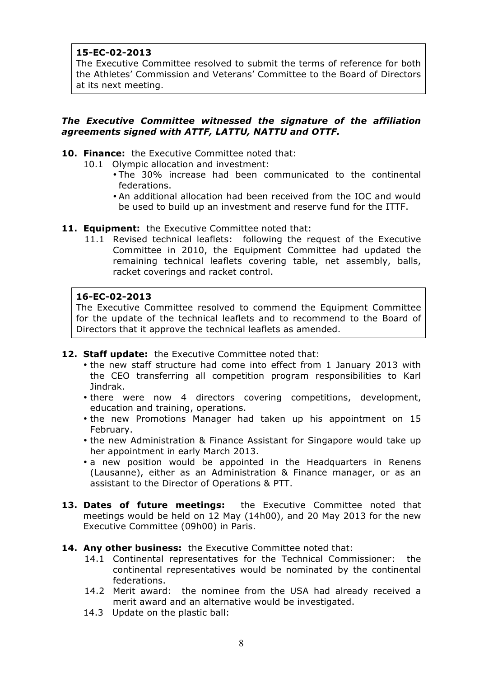# **15-EC-02-2013**

The Executive Committee resolved to submit the terms of reference for both the Athletes' Commission and Veterans' Committee to the Board of Directors at its next meeting.

## *The Executive Committee witnessed the signature of the affiliation agreements signed with ATTF, LATTU, NATTU and OTTF.*

- **10. Finance:** the Executive Committee noted that:
	- 10.1 Olympic allocation and investment:
		- The 30% increase had been communicated to the continental federations.
		- An additional allocation had been received from the IOC and would be used to build up an investment and reserve fund for the ITTF.
- **11. Equipment:** the Executive Committee noted that:
	- 11.1 Revised technical leaflets: following the request of the Executive Committee in 2010, the Equipment Committee had updated the remaining technical leaflets covering table, net assembly, balls, racket coverings and racket control.

## **16-EC-02-2013**

The Executive Committee resolved to commend the Equipment Committee for the update of the technical leaflets and to recommend to the Board of Directors that it approve the technical leaflets as amended.

- **12. Staff update:** the Executive Committee noted that:
	- the new staff structure had come into effect from 1 January 2013 with the CEO transferring all competition program responsibilities to Karl Jindrak.
	- there were now 4 directors covering competitions, development, education and training, operations.
	- the new Promotions Manager had taken up his appointment on 15 February.
	- the new Administration & Finance Assistant for Singapore would take up her appointment in early March 2013.
	- a new position would be appointed in the Headquarters in Renens (Lausanne), either as an Administration & Finance manager, or as an assistant to the Director of Operations & PTT.
- **13. Dates of future meetings:** the Executive Committee noted that meetings would be held on 12 May (14h00), and 20 May 2013 for the new Executive Committee (09h00) in Paris.
- **14. Any other business:** the Executive Committee noted that:
	- 14.1 Continental representatives for the Technical Commissioner: the continental representatives would be nominated by the continental federations.
	- 14.2 Merit award: the nominee from the USA had already received a merit award and an alternative would be investigated.
	- 14.3 Update on the plastic ball: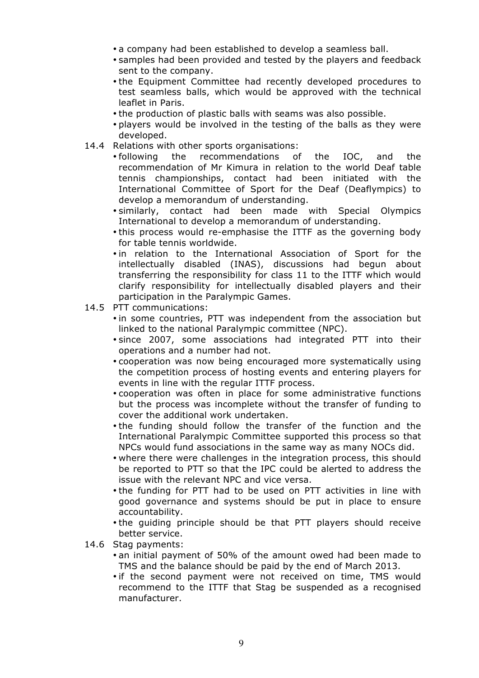- a company had been established to develop a seamless ball.
- samples had been provided and tested by the players and feedback sent to the company.
- the Equipment Committee had recently developed procedures to test seamless balls, which would be approved with the technical leaflet in Paris.
- the production of plastic balls with seams was also possible.
- players would be involved in the testing of the balls as they were developed.
- 14.4 Relations with other sports organisations:
	- following the recommendations of the IOC, and the recommendation of Mr Kimura in relation to the world Deaf table tennis championships, contact had been initiated with the International Committee of Sport for the Deaf (Deaflympics) to develop a memorandum of understanding.
	- similarly, contact had been made with Special Olympics International to develop a memorandum of understanding.
	- this process would re-emphasise the ITTF as the governing body for table tennis worldwide.
	- in relation to the International Association of Sport for the intellectually disabled (INAS), discussions had begun about transferring the responsibility for class 11 to the ITTF which would clarify responsibility for intellectually disabled players and their participation in the Paralympic Games.
- 14.5 PTT communications:
	- in some countries, PTT was independent from the association but linked to the national Paralympic committee (NPC).
	- since 2007, some associations had integrated PTT into their operations and a number had not.
	- cooperation was now being encouraged more systematically using the competition process of hosting events and entering players for events in line with the regular ITTF process.
	- cooperation was often in place for some administrative functions but the process was incomplete without the transfer of funding to cover the additional work undertaken.
	- the funding should follow the transfer of the function and the International Paralympic Committee supported this process so that NPCs would fund associations in the same way as many NOCs did.
	- where there were challenges in the integration process, this should be reported to PTT so that the IPC could be alerted to address the issue with the relevant NPC and vice versa.
	- the funding for PTT had to be used on PTT activities in line with good governance and systems should be put in place to ensure accountability.
	- the guiding principle should be that PTT players should receive better service.
- 14.6 Stag payments:
	- an initial payment of 50% of the amount owed had been made to TMS and the balance should be paid by the end of March 2013.
	- if the second payment were not received on time, TMS would recommend to the ITTF that Stag be suspended as a recognised manufacturer.